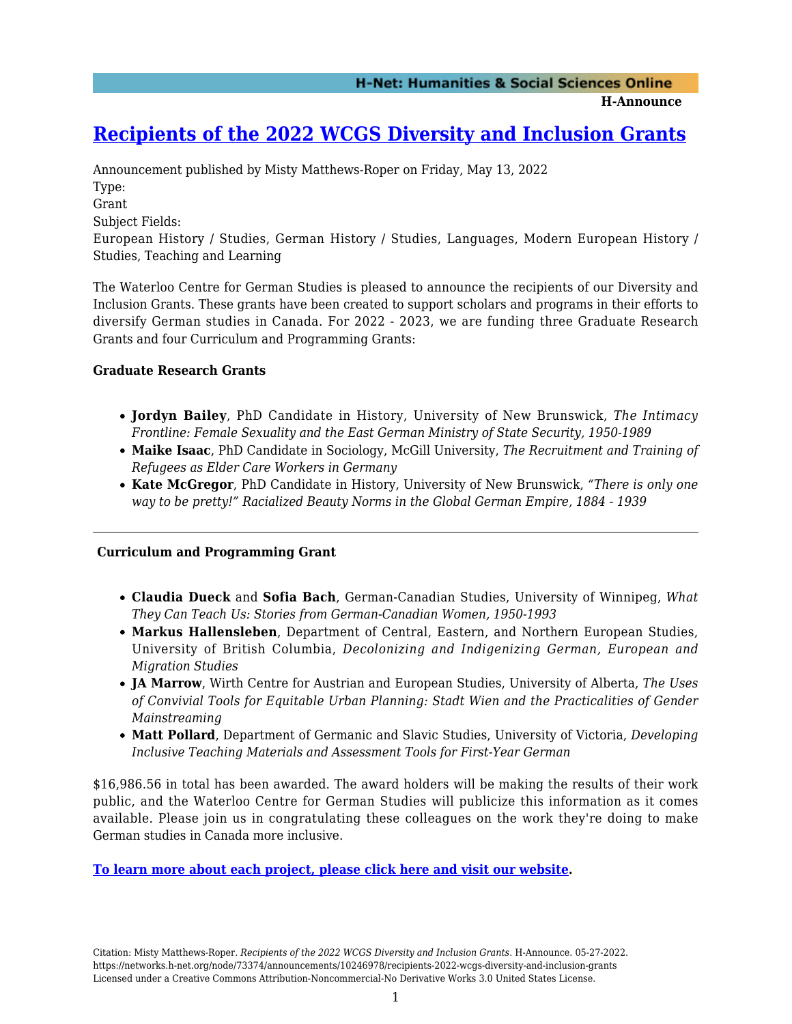**H-Announce** 

# **[Recipients of the 2022 WCGS Diversity and Inclusion Grants](https://networks.h-net.org/node/73374/announcements/10246978/recipients-2022-wcgs-diversity-and-inclusion-grants)**

Announcement published by Misty Matthews-Roper on Friday, May 13, 2022 Type: Grant Subject Fields: European History / Studies, German History / Studies, Languages, Modern European History / Studies, Teaching and Learning

The Waterloo Centre for German Studies is pleased to announce the recipients of our Diversity and Inclusion Grants. These grants have been created to support scholars and programs in their efforts to diversify German studies in Canada. For 2022 - 2023, we are funding three Graduate Research Grants and four Curriculum and Programming Grants:

#### **Graduate Research Grants**

- **Jordyn Bailey**, PhD Candidate in History, University of New Brunswick, *The Intimacy Frontline: Female Sexuality and the East German Ministry of State Security, 1950-1989*
- **Maike Isaac**, PhD Candidate in Sociology, McGill University, *The Recruitment and Training of Refugees as Elder Care Workers in Germany*
- **Kate McGregor**, PhD Candidate in History, University of New Brunswick, *"There is only one way to be pretty!" Racialized Beauty Norms in the Global German Empire, 1884 - 1939*

### **Curriculum and Programming Grant**

- **Claudia Dueck** and **Sofia Bach**, German-Canadian Studies, University of Winnipeg, *What They Can Teach Us: Stories from German-Canadian Women, 1950-1993*
- **Markus Hallensleben**, Department of Central, Eastern, and Northern European Studies, University of British Columbia, *Decolonizing and Indigenizing German, European and Migration Studies*
- **JA Marrow**, Wirth Centre for Austrian and European Studies, University of Alberta, *The Uses of Convivial Tools for Equitable Urban Planning: Stadt Wien and the Practicalities of Gender Mainstreaming*
- **Matt Pollard**, Department of Germanic and Slavic Studies, University of Victoria, *Developing Inclusive Teaching Materials and Assessment Tools for First-Year German*

\$16,986.56 in total has been awarded. The award holders will be making the results of their work public, and the Waterloo Centre for German Studies will publicize this information as it comes available. Please join us in congratulating these colleagues on the work they're doing to make German studies in Canada more inclusive.

#### **[To learn more about each project, please click here and visit our website.](https://uwaterloo.ca/centre-for-german-studies/research-activities-and-opportunities/diversity-and-inclusion-grants-german-studies/2022-diversity-inclusion-grants-recipients)**